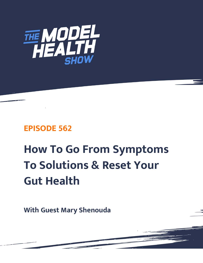

# **EPISODE 562**

# **How To Go From Symptoms To Solutions & Reset Your Gut Health**

**With Guest Mary Shenouda**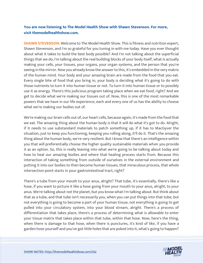# **You are now listening to The Model Health Show with Shawn Stevenson. For more, visit themodelhealthshow.com.**

**SHAWN STEVENSON:** Welcome to The Model Health Show. This is fitness and nutrition expert, Shawn Stevenson, and I'm so grateful for you tuning in with me today. Have you ever thought about what it takes to build the best body possible? And I'm not talking about the superficial things that we do, I'm talking about the real building blocks of your body itself, what is actually making your cells, your tissues, your organs, your organ systems, and the person that you're seeing in the mirror. Now you already know the answer to this, it's embedded in the very matrix of the human mind. Your body and your amazing brain are made from the food that you eat. Every single bite of food that you bring in, your body is deciding what it's going to do with those nutrients to turn it into human tissue or not. To turn it into human tissue or to possibly use it as energy. There's this judicious program taking place when we eat food, right? And we get to decide what we're making our tissues out of. Now, this is one of the most remarkable powers that we have in our life experience, each and every one of us has the ability to choose what we're making our bodies out of.

We're making our brain cells out of, our heart cells, because again, it's made from the food that we eat. The amazing thing about the human body is that it will do what it's got to do. Alright, if it needs to use substandard materials to patch something up, if it has to MacGyver the situation, just to keep you functioning, keeping you rolling along, it'll do it. That's the amazing thing about the human body, we're very resilient. But I know that there's an intelligence within you that will preferentially choose the higher quality sustainable materials when you provide it as an option. So, this is really leaning into what we're going to be talking about today and how to heal our amazing bodies and where that healing process starts from. Because this interaction of taking something from outside of ourselves in the external environment and putting it into our bodies to then become human tissues, that miraculous process, that whole intersection point starts in your gastrointestinal tract, right?

There's a tube from your mouth to your anus, alright? That tube, it's essentially, there's like a hose, if you want to picture it like a hose going from your mouth to your anus, alright, to your anus. We're talking about not the planet, but you know what I'm talking about. But think about that as a tube, and that tube isn't necessarily you, when you can put things into that tube, but not everything is going to become a part of your human tissue, not everything is going to get pulled into your circulatory system, into your blood stream, alright. There's a process of differentiation that takes place, there's a process of determining what is allowable to enter your tissue matrix that takes place within that tube, within that hose. Now, here's the thing, when there is damage to that hose, when there is punctures, it's kind of like, if you have a garden hose yourself and you've got little holes that are poked into it, what's going to happen?

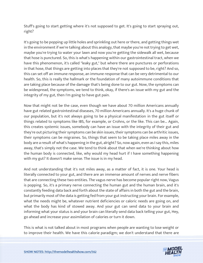Stuff's going to start getting where it's not supposed to get. It's going to start spraying out, right?

It's going to be popping up little holes and sprinkling out here or there, and getting things wet in the environment if we're talking about this analogy, that maybe you're not trying to get wet, maybe you're trying to water your lawn and now you're getting the sidewalk all wet, because that hose is punctured. So, this is what's happening within our gastrointestinal tract, when we have this phenomenon, it's called "leaky gut," but where there are punctures or perforations in that hose, that things are getting into places that they're not supposed to be, right? And so, this can set off an immune response, an immune response that can be very detrimental to our health. So, this is really the hallmark or the foundation of many autoimmune conditions that are taking place because of the damage that's being done to our gut. Now, the symptoms can be widespread, the symptoms, we tend to think, okay, if there's an issue with my gut and the integrity of my gut, then I'm going to have gut pain.

Now that might not be the case, even though we have about 70 million Americans annually have gut related gastrointestinal diseases, 70 million Americans annually. It's a huge chunk of our population, but it's not always going to be a physical manifestation in the gut itself or things related to symptoms like IBS, for example, or Crohns, or the like. This can be... Again, this creates systemic issues, somebody can have an issue with the integrity of their gut and they're out picturing their symptoms can be skin issues, their symptoms can be arthritic issues, their symptoms can be migraines. So, things that seem to be taking place miles away in the body are a result of what's happening in the gut, alright? So, now again, even as I say this, miles away, that's simply not the case. We tend to think about that when we're thinking about how the human body is connected, like, why would my head hurt if I have something happening with my gut? It doesn't make sense. The issue is in my head.

And not understanding that it's not miles away, as a matter of fact, it is one. Your head is literally connected to your gut, and there are an immense amount of nerves and nerve fibers that are connecting these two entities. The vagus nerve has become popular right now, Vagus is popping. So, it's a primary nerve connecting the human gut and the human brain, and it's constantly feeding data back and forth about the state of affairs in both the gut and the brain, but primarily most of the data is getting fed from your gut instructing your brain. For example, what the needs might be, whatever nutrient deficiencies or caloric needs are going on, and what the body has kind of stowed away. And your gut can send data to your brain and informing what your status is and your brain can literally send data back telling your gut, Hey, go ahead and increase your assimilation of calories or turn it down.

This is what is not talked about in most programs when people are wanting to lose weight or [to improve their health. We have this calorie paradigm; we don](https://themodelhealthshow.com/mary-shenouda/)'[t understand that there are](https://themodelhealthshow.com/mary-shenouda/) 

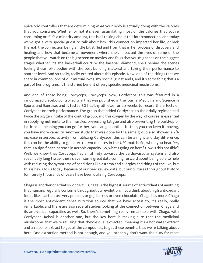epicaloric controllers that are determining what your body is actually doing with the calories that you consume. Whether or not it's even assimilating most of the calories that you're consuming or if it's a minority amount, this is all talking about this interconnection, and today we've got a very special guest to talk about how this connection impacted her life, or lack thereof, the connection being a little bit stifled and from that in her process of discovery and healing and how that became a movement where she's impacted the lives of some of the people that you watch on the big screen on movies, and folks that you might see on the biggest stages whether it's the basketball court or the baseball diamond, she's behind the scenes fueling these folks bodies with the best building material and taking their performance to another level. And so really, really excited about this episode. Now, one of the things that we share in common, one of our mutual loves, my special guest and I, and it's something that's a part of her programs, is the storied benefit of very specific medicinal mushrooms.

And one of those being Cordyceps, Cordyceps. Now, Cordyceps, this was featured in a randomized placebo-controlled trial that was published in the Journal Medicine and Science in Sports and Exercise, and it tested 30 healthy athletes for six weeks to record the effects of Cordyceps on their performance. The group that added Cordyceps to their daily regimen had twice the oxygen intake of the control group, and this oxygen by the way, of course, is essential in supplying nutrients to the muscles, preventing fatigue and also preventing the build-up of lactic acid, meaning you can go further, you can go another further, you can keep it moving, you have more capacity. Another study that was done by the same group also showed a 9% increase in aerobic activity from utilizing Cordyceps, this can be a night and day difference, this can be the ability to go an extra two minutes in the UFC match. So, when you hear 9%, that is a significant increase in aerobic capacity. So, what's going on here? How is this possible? Well, we know that Cordyceps has an affinity towards the cardiovascular system and also specifically lung tissue, there's even some great data coming forward about being able to help with reducing the symptoms of conditions like asthma and allergies and things of the like, but this is news to us today, because of our peer review data, but our cultures throughout history for literally thousands of years have been utilizing Cordyceps...

Chaga is another one that's wonderful. Chaga is the highest source of antioxidants of anything that humans regularly consume throughout our evolution. If you think about high antioxidant foods like acai that are very popular, or goji berries or even chocolate, Chaga has more. Chaga is the most antioxidant dense nutrition source that we have access to, it's really, really remarkable, and there are also several studies looking at the connection between Chaga and its anti-cancer capacities as well. So, there's something really remarkable with Chaga, with Cordyceps. Reishi is another one, but the key here is making sure that the medicinal mushrooms that we're utilizing that they're dual extracted, meaning it's a hot water extract and an alcohol extract to get all the compounds, to get these benefits that we're talking about [here. One extraction method is not enough, and you probably don](https://themodelhealthshow.com/mary-shenouda/)'[t want the duty for most](https://themodelhealthshow.com/mary-shenouda/)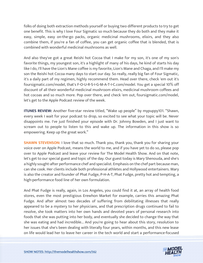folks of doing both extraction methods yourself or buying two different products to try to get one benefit. This is why I love Four Sigmatic so much because they do both and they make it easy, simple, easy on-the-go packs, organic medicinal mushrooms, elixirs, and they also combine them, if you're a fan of coffee, you can get organic coffee that is blended, that is combined with wonderful medicinal mushrooms as well.

And also they've got a great Reishi hot Cocoa that I make for my son, it's one of my son's favorite things, my youngest son, it's a highlight of many of his days, he kind of starts his day like I do, I'll have the Lion's Mane coffee is my favorite, Lion's Mane and Chaga, and I'll make my son the Reishi hot Cocoa many days to start our day. So really, really big fan of Four Sigmatic, it's a daily part of my regimen, highly recommend them. Head over there, check 'em out it's foursigmatic.com/model, that's F-O-U-R-S-I-G-M-A-T-I-C.com/model. You get a special 10% off discount of all their wonderful medicinal mushroom elixirs, medicinal mushroom coffees and hot cocoas and so much more. Pop over there, and check 'em out, foursigmatic.com/model, let's get to the Apple Podcast review of the week.

**ITUNES REVIEW:** Another five-star review titled, "Wake up people" by mypuppy101. "Shawn, every week I wait for your podcast to drop, so excited to see what your topic will be. Never disappoints me. I've just finished your episode with Dr. Johnny Bowden, and I just want to scream out to people to listen to this and wake up. The information in this show is so empowering. Keep up the great work."

**SHAWN STEVENSON:** I love that so much. Thank you, thank you, thank you for sharing your voice over on Apple Podcast, means the world to me, and if you have yet to do so, please pop over to Apple Podcast and leave your review for The Model Health Show. And on that note, let's get to our special guest and topic of the day. Our guest today is Mary Shenouda, and she's a highly sought-after performance chef and specialist. Emphasis on the chef part because man, can she cook. Her clients include both professional athletes and Hollywood entertainers. Mary is also the creator and founder of Phat Fudge, P-H-A-T, Phat Fudge, pretty hot and tempting, a high-performance food line of her own formulation.

And Phat Fudge is really, again, in Los Angeles, you could find it at, an array of health food stores, even the most prestigious Erewhon Market for example, carries this amazing Phat Fudge. And after almost two decades of suffering from debilitating illnesses that really appeared to be a mystery to her physicians, and that prescription drugs continued to fail to resolve, she took matters into her own hands and devoted years of personal research into foods that she was putting into her body, and eventually she decided to change the way that she was eating and had incredible... And you're going to hear about this story, resolution to her issues that she's been dealing with literally four years, within months, and this new lease [on life would lead her to leave her career in the tech world and start a performance-focused](https://themodelhealthshow.com/mary-shenouda/)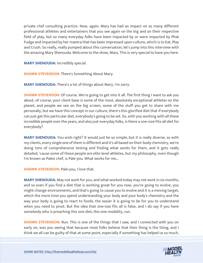private chef consulting practice. Now, again, Mary has had an impact on so many different professional athletes and entertainers that you see again on the big and on their respective field of play, but so many everyday folks have been impacted by or were impacted by Phat Fudge and impacted by her mantra that has been impressed upon culture, which is to Eat, Play and Crush. So really, really pumped about this conversation, let's jump into this interview with the amazing Mary Shenouda. Welcome to the show, Mary. This is very special to have you here.

**MARY SHENOUDA:** Incredibly special.

**SHAWN STEVENSON:** There's Something About Mary.

**MARY SHENOUDA:** There's a lot of things about Mary. I'm sorry.

**SHAWN STEVENSON:** Of course. We're going to get into it all. The first thing I want to ask you about, of course, your client base is some of the most, absolutely exceptional athletes on the planet, and people we see on the big screen, some of the stuff you get to share with me personally, but we have this concept in our culture, there's this glorified diet that if everybody can just get this particular diet, everybody's going to be set. So, with you working with all these incredible people over the years, and also just everyday folks, is there a one-size-fits-all diet for everybody?

**MARY SHENOUDA:** You wish right? It would just be so simple, but it is really diverse, so with my clients, every single one of them is different and it's all based on their body chemistry, we're doing tons of comprehensive testing and finding what works for them, and it gets really detailed, 'cause some of these people are elite level athletes, but my philosophy, even though I'm known as Paleo chef, is Pale-you. What works for me...

**SHAWN STEVENSON: Pale-you, I love that.** 

**MARY SHENOUDA:** May not work for you, and what worked today may not work in six months, and so even if you find a diet that is working great for you now, you're going to evolve, you might change environments, and that's going to cause you to evolve and it is a moving target, which the more time you spend understanding your body and your body's chemistry and the way your body is going to react to foods, the easier it is going to be for you to understand when you need to pivot. But the idea that one-size fits all is false, and I do say if you have somebody who is preaching this one diet, this one modality, run.

**SHAWN STEVENSON:** Run. This is one of the things that I saw, and I connected with you on early on, was you seeing that because most folks believe that their thing is the thing, and I think we all can be [guilty of that at some point, especially if something has helped us so much,](https://themodelhealthshow.com/mary-shenouda/) 

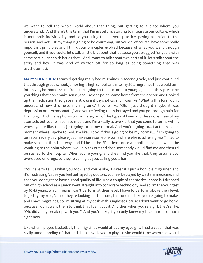we want to tell the whole world about that thing, but getting to a place where you understand... And there's this term that I'm grateful is starting to integrate our culture, which is metabolic individuality, and so you using that in your practice, paying attention to the person, and not just my thing is going to be your thing, but you do, of course, have some really important principles and I think your principles evolved because of what you went through yourself, and if you could, let's talk a little bit about that because you struggled for years with some particular health issues that... And I want to talk about two parts of it, let's talk about the story and how it was kind of written off for so long as being something that was psychosomatic.

**MARY SHENOUDA:** I started getting really bad migraines in second grade, and just continued that through grade school, junior high, high school, and into my 20s, migraines that would turn into hives, hormone issues. You start going to the doctor at a young age, and they prescribe you things that don't make sense, and... At one point I came home from the doctor, and I looked up the medication they gave me, it was antipsychotics, and I was like, "What is this for? I don't understand how this helps my migraine," they're like, "Oh, I just thought maybe it was depression or psychosomatic," and you're feeling really betrayed and you go through pain for that long... And I have photos on my Instagram of the types of hives and the swollenness of my stomach, but you're in pain so much, and I'm a really active kid, that you come to terms with it where you're like, this is just going to be my normal. And you're going to... I actually had a moment where I spoke to God, I'm like, "Look, if this is going to be my normal... If I'm going to be in pain every day, please just make sure someone somewhere else is suffering less." I had to make sense of it in that way, and I'd be in the ER at least once a month, because I would be vomiting to the point where I would black out and then somebody would find me and then I'd be rushed to the hospital. When you're young, and they find you like that, they assume you overdosed on drugs, so they're yelling at you, calling you a liar.

"You have to tell us what you took" and you're like, "I swear it's just a horrible migraine," and it's frustrating 'cause you feel betrayed by doctors, you feel betrayed by western medicine, and then you don't get to have a good quality of life. And a couple of the stories I share is, I dropped out of high school as a junior, went straight into corporate technology, and so I'm the youngest by 10-15 years, which means I can't perform at their level, I have to perform above their level, to justify my role, 'cause they're looking for that one, that one mistake you're going to make, and I have migraines, so I'm sitting at my desk with sunglasses 'cause I don't want to go home because I don't want them to think that I can't cut it. And then when you're a girl, they're like, "Oh, did a boy break up with you?" And you're like, if you only knew my head hurts so much right now.

Like when I played basketball, the migraines would affect my eyesight. I had a coach that was [really understanding of that and she knew I loved to play, so she would time when she would](https://themodelhealthshow.com/mary-shenouda/) 

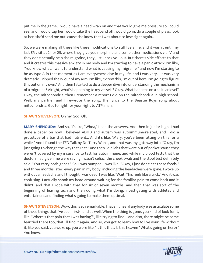put me in the game, I would have a head wrap on and that would give me pressure so I could see, and I would tap her, would take the headband off, would go in, do a couple of plays, look at her, she'd send me out 'cause she knew that I was about to lose sight again...

So, we were making all these like these modifications to still live a life, and it wasn't until my last ER visit at 24 or 25, where they give you morphine and some other medications via IV and they don't actually help the migraine, they just knock you out. But there's side effects to that and it creates this massive anxiety in my body and I'm starting to have a panic attack, I'm like, "You know what, I want to understand what is causing my migraine," and now I'm starting to be as type A in that moment as I am everywhere else in my life, and I was very... It was very dramatic. I ripped the IV out of my arm, I'm like, "Screw this, I'm out of here, I'm going to figure this out on my own." And then I started to do a deeper dive into understanding the mechanism of a migraine? Alright, what's happening to my vessels? Okay. What happens on a cellular level? Okay, the mitochondria, then I remember a report I did on the mitochondria in high school. Well, my partner and I re-wrote the song, the lyrics to the Beastie Boys song about mitochondria. Got to fight for your right to ATP, man.

**SHAWN STEVENSON:** Oh my God! Oh.

**MARY SHENOUDA:** And so, it's like, "Whoa," I had the answers. And then in junior high, I had done a paper on how I believed ADHD and autism was autoimmune-related, and I did a prototype of a bar that had nutrient... And it's like, "Mary, you've been sitting on this for a while." And I found the TED Talk by Dr. Terry Wahls, and that was my gateway into, "Okay, I'm just going to change the way that I eat." And then I did labs that were out of pocket 'cause they weren't covered by my insurance to test for autoimmune, and while my blood tests that the doctors had given me were saying I wasn't celiac, the cheek swab and the stool test definitely said, "You carry both genes." So, I was pumped, I was like, "Okay, I just don't eat these foods," and three months later, every pain in my body, including the headaches were gone. I woke up without a headache and I thought I was dead. I was like, "Wait. This feels like a trick." And it was confusing. I actually shook my head around waiting for the familiar pain to come back and it didn't, and that I rode with that for six or seven months, and then that was sort of the beginning of leaving tech and then doing what I'm doing, investigating with athletes and entertainers and finding what's going to make them optimal.

**SHAWN STEVENSON:** Wow, this is so remarkable. I haven't heard anybody else articulate some of these things that I've seen first-hand as well. When the thing is gone, you kind of look for it, like, "Where's that pain that I was having?", like trying to find... And also, there might be some fear tied there too, that I'll find it again. And so, you got to learn how to live your life without it, like you said, you woke up, you were like, "Is this the... Is this heaven? What's going on here?" [You know.](https://themodelhealthshow.com/mary-shenouda/)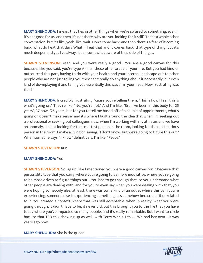**MARY SHENOUDA:** I mean, that ties in other things when we're so used to something, even if it's not good for us, and then it's not there, why are you looking for it still? That's a whole other conversation, but it's like, yeah, like, wait. Don't come back, and then there's a fear of it coming back, what do I eat that day? What if I eat that and it comes back, that type of thing, but it's much deeper and yet I've always been somewhat aware of that side of things...

**SHAWN STEVENSON:** Yeah, and you were really a good... You are a good canvas for this because, like you said, you're type A in all these other areas of your life. But you had kind of outsourced this part, having to do with your health and your internal landscape out to other people who are not just telling you they can't really do anything about it necessarily, but even kind of downplaying it and telling you essentially this was all in your head. How frustrating was that?

**MARY SHENOUDA:** Incredibly frustrating, 'cause you're telling them, "This is how I feel, this is what's going on." They're like, "No, you're not." And I'm like, "Bro, I've been in this body for 25 years", 37 now, "25 years, but for you to tell me based off of a couple of appointments, what's going on doesn't make sense" and it's where I built around the idea that when I'm seeking out a professional or seeking out colleagues, now, when I'm working with my athletes and we have an anomaly, I'm not looking for the smartest person in the room, looking for the most curious person in the room. I make a living on saying, "I don't know, but we're going to figure this out." When someone says, "I know" definitively, I'm like, "Peace."

# **SHAWN STEVENSON:** Run.

# **MARY SHENOUDA:** Yes.

**SHAWN STEVENSON:** So, again, like I mentioned you were a good canvas for it because that personality type that you carry, where you're going to be more inquisitive, where you're going to be more driven to figure things out... You had to go through that, so you understand what other people are dealing with, and for you to even say when you were dealing with that, you were hoping somebody else, at least, there was some kind of an outlet where this pain you're experiencing, someone else is experiencing something less somehow because of it or related to it. You created a context where that was still acceptable, when in reality, what you were going through, it didn't have to be, it never did, but this brought you to the life that you have today where you've impacted so many people, and it's really remarkable. But I want to circle back to that TED talk showing up as well, with Terry Wahls. I talk... We had her own... It was years ago now.

# **[MARY SHENOUDA:](https://themodelhealthshow.com/mary-shenouda/)** She is the queen.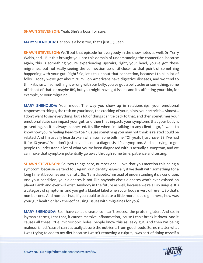#### **SHAWN STEVENSON:** Yeah. She's a boss, for sure.

**MARY SHENOUDA:** Her son is a boss too, that's just... Queen.

**SHAWN STEVENSON:** We'll put that episode for everybody in the show notes as well, Dr. Terry Wahls, and... But this brought you into this domain of understanding the connection, because again, this is something you're experiencing upstairs, right, your head, you've got these migraines, but not really seeing the connection up until closer to that point of something happening with your gut. Right? So, let's talk about that connection, because I think a lot of folks... Today we've got about 70 million Americans have digestive diseases, and we tend to think it's just, if something is wrong with our belly, you've got a belly ache or something, some off-shoot of that, or maybe IBS, but you might have gut issues and it's affecting your skin, for example, or your migraine...

**MARY SHENOUDA:** Your mood. The way you show up in relationships, your emotional responses to things, the rash on your knee, the cracking of your joints, your arthritis... Almost... I don't want to say everything, but a lot of things can tie back to that, and then sometimes your emotional state can impact your gut, and then that impacts your symptoms that your body is presenting, so it is always connected. It's like when I'm talking to any client, I go, "I want to know how you're feeling head-to-toe." 'Cause something you may not think is related could be related. And I'm usually heartbroken when someone tells me, "Oh yeah, I just have IBS, I've had it for 10 years." You don't just have, it's not a diagnosis, it's a symptom. And so, trying to get people to understand a lot of what you've been diagnosed with is actually a symptom, and we can make that symptom potentially go away through some time, patience and testing.

**SHAWN STEVENSON:** So, two things here, number one, I love that you mention this being a symptom, because we tend to... Again, our identity, especially if we dealt with something for a long time, it becomes our identity. So, "I am diabetic," instead of understanding it's a condition. And your condition, your diabetes is not like anybody else's diabetes who's ever existed on planet Earth and ever will exist. Anybody in the future as well, because we're all so unique. It's a category of symptoms, and you get a blanket label when your body is very different. So that's number one. And number two, if you could articulate a little more, let's dig in here, how was your gut health or lack thereof causing issues with migraines for you?

**MARY SHENOUDA:** So, I have celiac disease, so I can't process the protein gluten. And so, in layman's terms, I eat that, it causes massive inflammation, 'cause I can't break it down. And it causes all these little, microscopic holes, people know this as leaky gut. And then I'm being malnourished, 'cause I can't actually absorb the nutrients from good foods. So, no matter what [I was trying to add to my diet because I wasn](https://themodelhealthshow.com/mary-shenouda/)'[t removing a culprit, I was sort of doing myself a](https://themodelhealthshow.com/mary-shenouda/)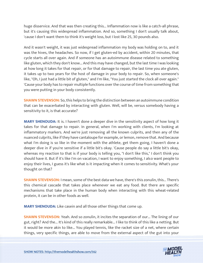huge disservice. And that was then creating this... Inflammation now is like a catch-all phrase, but it's causing this widespread inflammation. And so, something I don't usually talk about, 'cause I don't want them to think it's weight loss, but I lost like 25, 30 pounds also.

And it wasn't weight, it was just widespread inflammation my body was holding on to, and it was the hives, the headaches. So now, if I get gluten-ed by accident, within 20 minutes, that cycle starts all over again. And if someone has an autoimmune disease related to something like gluten, which they don't know... And this may have changed, but the last time I was looking at how long it takes for that repair, or for that damage to repair, the last time you ate gluten, it takes up to two years for the host of damage in your body to repair. So, when someone's like, "Oh, I just had a little bit of gluten," and I'm like, "You just started the clock all over again." 'Cause your body has to repair multiple functions over the course of time from something that you were putting in your body consistently.

**SHAWN STEVENSON:** So, this helps to bring the distinction between an autoimmune condition that can be exacerbated by interacting with gluten. Well, will be, versus somebody having a sensitivity to it, is that accurate?

**MARY SHENOUDA:** It is. I haven't done a deeper dive in the sensitivity aspect of how long it takes for that damage to repair. In general, when I'm working with clients, I'm looking at inflammatory markers. And we're just removing all the known culprits, and then any of the nuanced culprits, like if they have cantaloupe for example, or lemon, remove that. And because what I'm doing is so like in the moment with the athlete, get them going, I haven't done a deeper dive in if you're sensitive if a little bit's okay. 'Cause people do say a little bit's okay, whereas my reaction to that is if your body is telling you, "I don't like this," I don't think you should have it. But if it's like I'm on vacation, I want to enjoy something, I also want people to enjoy their lives, I guess it's like what is it impacting when it comes to sensitivity. What's your thought on that?

**SHAWN STEVENSON:** I mean, some of the best data we have, there's this zonulin, this... There's this chemical cascade that takes place whenever we eat any food. But there are specific mechanisms that take place in the human body when interacting with this wheat-related protein, it can be in other foods as well.

**MARY SHENOUDA:** Like casein and all those other things that come up.

**SHAWN STEVENSON:** Yeah. And so zonulin, it incites the separation of our... The lining of our gut, right? And the... It's kind of this really remarkable... I like to think of this like a netting. But it would be more akin to like... You played tennis, like the racket size of a net, where certain [things, very specific things, are able to move from the external aspect of the gut into your](https://themodelhealthshow.com/mary-shenouda/)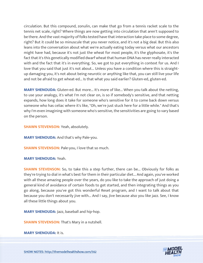circulation. But this compound, zonulin, can make that go from a tennis racket scale to the tennis net scale, right? Where things are now getting into circulation that aren't supposed to be there. And the vast majority of folks tested have that interaction take place to some degree, right? But it could be so minuscule that you never notice, and it's not a big deal. But this also leans into the conversation about what we're actually eating today versus what our ancestors might have had, because it's not just the wheat for most people, it's the glyphosate, it's the fact that it's this genetically modified dwarf wheat that human DNA has never really interacted with and the fact that it's in everything. So, we got to put everything in context for us. And I love that you said that just it's not about... Unless you have a condition where this is straightup damaging you, it's not about being neurotic or anything like that, you can still live your life and not be afraid to get wheat-ed... Is that what you said earlier? Gluten-ed, gluten-ed.

**MARY SHENOUDA:** Gluten-ed. But more... It's more of like... When you talk about the netting, to use your analogy, it's what I'm not clear on, is so if somebody's sensitive, and that netting expands, how long does it take for someone who's sensitive for it to come back down versus someone who has celiac where it's like, "Oh, we're just stuck here for a little while." And that's why I'm even imagining with someone who's sensitive, the sensitivities are going to vary based on the person.

**SHAWN STEVENSON:** Yeah, absolutely.

**MARY SHENOUDA:** And that's why Pale-you.

**SHAWN STEVENSON: Pale-you, I love that so much.** 

**MARY SHENOUDA:** Yeah.

**SHAWN STEVENSON:** So, to take this a step further, there can be... Obviously for folks as they're trying to dial in what's best for them in their particular diet... And again, you've worked with all these amazing people over the years, do you like to take the approach of just doing a general kind of avoidance of certain foods to get started, and then integrating things as you go along, because you've got this wonderful Reset program, and I want to talk about that because you don't necessarily jive with... And I say, Jive because also you like jazz. See, I know all these little things about you.

**MARY SHENOUDA:** Jazz, baseball and hip-hop.

**SHAWN STEVENSON:** That's Mary in a nutshell.

**[MARY SHENOUDA:](https://themodelhealthshow.com/mary-shenouda/)** It is.

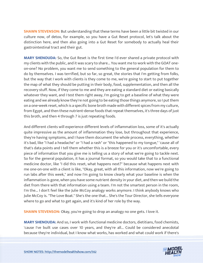**SHAWN STEVENSON:** But understanding that these terms have been a little bit twisted in our culture now, of detox, for example, so you have a Gut Reset protocol, let's talk about the distinction here, and then also going into a Gut Reset for somebody to actually heal their gastrointestinal tract and their gut.

**MARY SHENOUDA:** So, the Gut Reset is the first time I'd ever shared a private protocol with my clients with the public, and it was scary to share... You want me to work with the GOAT oneon-one? No problem, you want me to send something to the general population for them to do by themselves. I was terrified, but so far, so great, the stories that I'm getting from folks, but the way that I work with clients is they come to me, we're going to start to put together the map of what they should be putting in their body, food, supplementation, and then all the recovery stuff. Now, if they come to me and they are eating a standard diet or eating basically whatever they want, and I test them right away, I'm going to get a baseline of what they were eating and we already know they're not going to be eating those things anymore, so I put them on a one-week reset, which is a specific bone broth made with different spices from my culture, from Egypt, and then these nutrient-dense foods that repeat themselves, it's three days of just this broth, and then 4 through 7 is just repeating foods.

And different clients will experience different levels of inflammation loss, some of it's actually quite impressive as the amount of inflammation they lose, but throughout that experience, they're having symptoms, and I have them document the whole process, everything, whether it's bad, like "I had a headache" or "I had a rash" or "this happened to my tongue," 'cause all of that's data points and I tell them whether this is a breeze for you or it's uncomfortable, every piece of information that you give me is telling us a story of what we're going to tackle next. So for the general population, it has a journal format, so you would take that to a functional medicine doctor, like "I did this reset, what happens next?" because what happens next with me one-on-one with a client is like, "Okay, great, with all this information, now we're going to run labs after this week," and now I'm going to know clearly what your baseline is when the inflammation is gone, when you have some nutrient density in your diet, and then we build the diet from there with that information using a team. I'm not the smartest person in the room, I'm the... I don't feel like the Julie McCoy analogy works anymore. I think anybody knows who Julie McCoy is. "The Love Boat." She's the one that... She's the Tour Director, she tells everyone where to go and what to get again, and it's kind of her role by the way.

**SHAWN STEVENSON:** Okay, you're going to drop an analogy no one gets. I love it.

**MARY SHENOUDA:** And so, I work with functional medicine doctors, dietitians, food chemists, 'cause I've built use cases over 10 years, and they're all... Could be considered anecdotal [because they](https://themodelhealthshow.com/mary-shenouda/)'[re individual, but I know what works, has worked and what could work if there](https://themodelhealthshow.com/mary-shenouda/)'[s](https://themodelhealthshow.com/mary-shenouda/)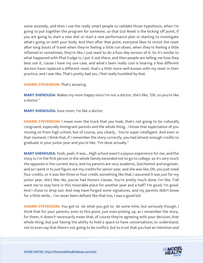some anomaly, and then I use the really smart people to validate those hypothesis, when I'm going to put together the program for someone, so that Gut Reset is the kicking off point, if you are going to start a new diet or start a new performance plan or starting to investigate what's going on with your body. And then after that point, everyone likes to revisit the reset after long bouts of travel when they're feeling a little run-down, when they're feeling a little inflamed or sometimes, they're like, I just want to do a four-day version of it. So it's similar to what happened with Phat Fudge is, I put it out there, and then people are telling me how they best use it, 'cause I have my use case, and what's been really cool is hearing a few different doctors have replaced a different reset, that's a little more well-known with my reset in their practice, and I was like, That's pretty bad ass, I feel really humbled by that.

**SHAWN STEVENSON: That's amazing.** 

**MARY SHENOUDA:** Makes my mom happy since I'm not a doctor, she's like, "Oh, so you're like a doctor."

**MARY SHENOUDA:** Sure mom, I'm like a doctor.

**SHAWN STEVENSON:** I mean even the track that you took, that's not going to be culturally congruent, especially immigrant parents and the whole thing... I know that expectation of you moving on from high school, but of course, you clearly... You're super intelligent. And even in that moment, I think that, if I remember the story correctly, you had almost enough credits to graduate in your junior year and you're like, "I'm done actually."

**MARY SHENOUDA:** Yeah, yeah, it was... High school wasn't a joyous experience for me, and the irony is, I'm the first person in the whole family extended not to go to college, so it's very much the opposite in the current story, and my parents are very academic, biochemist and engineer, and so I went in to just figure out my credits for senior year, and she was like, Oh, you just need four credits, or it was like three or four credit, something like that, I assumed it was just for my junior year, she's like, No, you've had Honors classes. You're pretty much done, I'm like, Y'all want me to stay here in this miserable place for another year and a half? I'm good, I'm good. And I chose to drop out. And may have forged some signatures, and my parents didn't know for a little while... I've never been defiant like that too, I was a good kid.

**SHAWN STEVENSON:** You got to do what you got to do some time, but seriously though, I think that for your parents, even to this point, just even picking up, as I remember the story, for them, it doesn't necessarily mean that, of course they're agreeing with your decision, that whole thing, but just having the ability to hold a space to have conversations, to understand, not to even say that there's not going to be conflict, but to trust that you had an intention and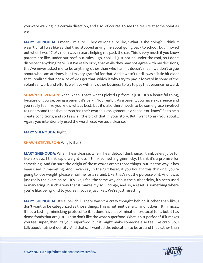you were walking in a certain direction, and also, of course, to see the results at some point as well.

**MARY SHENOUDA:** I mean, I'm sure... They weren't sure like, "What is she doing?" I think it wasn't until I was like 28 that they stopped asking me about going back to school, but I moved out when I was 17. My mom was in tears helping me pack the car. This is very much if you know parents are like, under our roof, our rules. I go, cool, I'll just not be under the roof, so I don't disrespect anything here. But I'm really lucky that while they may not agree with my decisions, they've never asked me to be anything other than who I am. It doesn't mean we don't argue about who I am at times, but I'm very grateful for that. And it wasn't until I was a little bit older that I realized that not a lot of kids get that, which is why I try to pay it forward in some of the volunteer work and efforts we have with my other business to try to pay that essence forward.

**SHAWN STEVENSON:** Yeah. Yeah. That's what I picked up from it just... It's a beautiful thing, because of course, being a parent it's very... You really... As a parent, you have experience and you really feel like you know what's best, but it's also there needs to be some grace involved to understand that that person has their own soul assignment in a sense. You know? So to help create conditions, and so I saw a little bit of that in your story. But I want to ask you about... Again, you intentionally used the word reset versus a cleanse.

# **MARY SHENOUDA:** Right.

# **SHAWN STEVENSON:** Why is that?

**MARY SHENOUDA:** When I hear cleanse, when I hear detox, I think juice, I think celery juice for like six days. I think rapid weight loss. I think something gimmicky. I think it's a promise for something. And I'm sure the origin of those words aren't those things, but it's the way it has been used in marketing. And I even say in the Gut Reset, if you bought this thinking, you're going to lose weight, please email me for a refund. Like, that's not the purpose of it. And it was just really the aversion to... It's like, I feel the same way about the authenticity, it's been used in marketing in such a way that it makes my soul cringe, and so, a reset is something where you're like, being kind to yourself, you're just like... We're just resetting.

**MARY SHENOUDA:** It's super chill. There wasn't a crazy thought behind it other than like, I don't want to be categorized as those things. This is nutrient density, and it does... It mimics... It has a fasting mimicking protocol to it. It does have an elimination protocol to it, but it has dense foods that are just... I also don't like the word superfood. What is a superfood? If it makes you feel super, then it's your superfood, but it might make someone else feel like crap. So, I talk about nutrient density. And that's... I wanted the education to be around that rather than

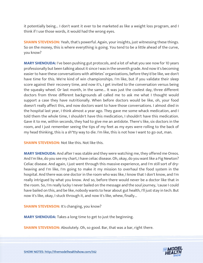it potentially being... I don't want it ever to be marketed as like a weight loss program, and I think if I use those words, it would had the wrong eyes.

**SHAWN STEVENSON:** Yeah, that's powerful. Again, your insights, just witnessing these things. So on the money, this is where everything is going. You tend to be a little ahead of the curve, you know?

**MARY SHENOUDA:** I've been pushing gut protocols, and a lot of what you see now for 10 years professionally but been talking about it since I was in the seventh grade. And now it's becoming easier to have these conversations with athletes' organizations, before they'd be like, we don't have time for this. We're kind of win championships. I'm like, but if you validate their sleep score against their recovery time, and now it's, I get invited to the conversation versus being the squeaky wheel. Or last month, in the same... It was just the coolest day, three different doctors from three different backgrounds all called me to ask me what I thought would support a case they have nutritionally. When before doctors would be like, oh, your food doesn't really affect this, and now doctors want to have those conversations. I almost died in the hospital last year, I think almost a year ago. They gave me some whack medication, and I told them the whole time, I shouldn't have this medication, I shouldn't have this medication. Gave it to me, within seconds, they had to give me an antidote. There's like, six doctors in the room, and I just remember seeing the tips of my feet as my eyes were rolling to the back of my head thinking, this is a sh\*tty way to die. I'm like, this is not how I want to go out, man.

**SHAWN STEVENSON:** Not like this. Not like this.

**MARY SHENOUDA:** And after I was stable and they were watching me, they offered me Oreos. And I'm like, do you see my chart, I have celiac disease. Oh, okay, do you want like a Fig Newton? Celiac disease. And again, I just went through this massive experience, and I'm still sort of dryheaving and I'm like, I'm going to make it my mission to overhaul the food system in the hospital. And there was one doctor in the room who was like, I know that I don't know, and I'm really intrigued by what you know. And so, before there would never be a doctor like that in the room. So, I'm really lucky I never bailed on the message and the soul journey, 'cause I could have bailed on this, and be like, nobody wants to hear about gut health, I'll just stay in tech. But now it's like, okay, I stuck through it, and now it's like, whew, finally...

**SHAWN STEVENSON: It's changing, you know?** 

**MARY SHENOUDA:** Takes a long time to get to just the beginning.

**SHAWN STEVENSON:** Absolutely. Oh, so good. Bar, that was a bar, right there.

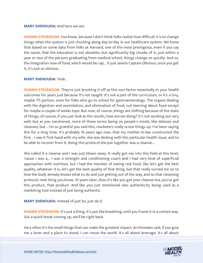# **MARY SHENOUDA:** And here we are.

**SHAWN STEVENSON:** You know, because I don't think folks realize how difficult it is to change things when the system is just chucking along day-to-day in our healthcare system. We know that based on some data from folks at Harvard, one of the most prestigious, even if you say the name, that the education is not obsolete, but significantly big chunks of it, just within a year or two of the persons graduating from medical school, things change so quickly. And so, the integration now of food, which would be cap... It just seems Captain Obvious, once you get it, it's just so obvious.

# **MARY SHENOUDA:** Yeah.

**SHAWN STEVENSON:** They're just brushing it off as this non-factor essentially in your health outcomes for years just because it's not taught. It's not a part of the curriculum, or it's a tiny, maybe 1% portion, even for folks who go to school for gastroenterology. The organs dealing with the digestion and assimilation, and elimination of food, not learning about food except for maybe a couple of weeks tops. But now, of course, things are shifting because of the state of things, of course, if you just look at the results, how are we doing? It's not working out very well, but as you mentioned, more of these terms being on people's minds, like detoxes and cleanses, but... I'm so grateful you said this, marketers really screw things up. I've been saying this for a long time. It's probably 16 years ago now, that my mother-in-law constructed the first... I saw it first-hand with my wife, she was dealing with this particular health issue, and to be able to recover from it, doing this protocol she put together was a cleanse...

She called it a cleanse and I was just blown away. It really got me into this field at this level, 'cause I was a... I was a strength and conditioning coach and I had very kind of superficial approaches with nutrition, but I had the moniker of eating real food, like let's get the best quality, whatever it is, let's get the best quality of that thing, but that really turned me on to how the body already knows what to do and just getting out of the way, and so that cleansing protocol, next thing you know, 10 years later, then it's like you got your cleanse tea, you've got this product, that product. And like you just mentioned also authenticity being used as a marketing tool instead of just being authentic.

**MARY SHENOUDA:** Instead of just be, just do it.

**SHAWN STEVENSON:** It's just a thing. It's just like breathing, until you frame it in a certain way. Got a quick break coming up, we'll be right back.

Very often it's the small things that can make the greatest impact. Archimedes said, if you give [me a lever and a place to stand, I can move the world. It](https://themodelhealthshow.com/mary-shenouda/)'[s all about leverage, it](https://themodelhealthshow.com/mary-shenouda/)'[s all about](https://themodelhealthshow.com/mary-shenouda/) 

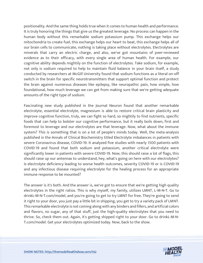positionality. And the same thing holds true when it comes to human health and performance. It is truly honoring the things that give us the greatest leverage. No process can happen in the human body without this remarkable sodium potassium pump. This exchange helps our mitochondria to create fuel, this exchange helps our heart to beat, this exchange helps all of our brain cells to communicate, nothing is taking place without electrolytes. Electrolytes are minerals that carry an electric charge, and also, we've got mountains of peer-reviewed evidence as to their efficacy, with every single area of human health. For example, our cognitive ability depends mightily on the function of electrolytes. Take sodium, for example, not only is sodium required to help to maintain fluid balance in your brain itself, a study conducted by researchers at McGill University found that sodium functions as a literal on-off switch in the brain for specific neurotransmitters that support optimal function and protect the brain against numerous diseases like epilepsy, like neuropathic pain, how simple, how foundational, how much leverage we can get from making sure that we're getting adequate amounts of the right type of sodium.

Fascinating new study published in the Journal Neuron found that another remarkable electrolyte, essential electrolyte, magnesium is able to restore critical brain plasticity and improve cognitive function, truly, we can fight so hard, so mightily to find nutrients, specific foods that can help to bolster our cognitive performance, but it really boils down, first and foremost to leverage and our electrolytes are that leverage. Now, what about the immune system? This is something that is on a lot of people's minds today. Well, the meta-analysis published in the Annals of Clinical Biochemistry titled Electrolyte imbalances in patients with severe Coronavirus disease, COVID-19. It analyzed five studies with nearly 1500 patients with COVID-19 and found that both sodium and potassium, another critical electrolyte were significantly lower in patients with severe COVID-19. Now, this should raise a lot of flags, this should raise up our antennas to understand, hey, what's going on here with our electrolytes? Is electrolyte deficiency leading to worse health outcomes, severity COVID-19 or is COVID-19 and any infectious disease requiring electrolyte for the healing process for an appropriate immune response to be mounted?

The answer is it's both. And the answer is, we've got to ensure that we're getting high quality electrolytes in the right ratios. This is why myself, my family, utilizes LMNT, L-M-N-T. Go to drinkL-M-N-T.com/model, and you're going to get to try LMNT for free. They're going to send it right to your door, you just pay a little bit in shipping, you get to try a variety pack of LMNT. This remarkable electrolyte is not coming along with any binders and fillers, and artificial colors and flavors, no sugar, any of that stuff, just the high-quality electrolytes that you need to thrive. So, check them out. Again, it's getting shipped right to your door. Go to drinkL-M-N-T.com/model. Get your electrolytes optimized today. Now, back to the show.

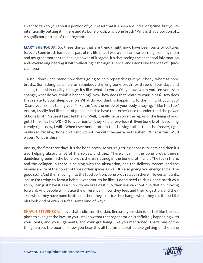I want to talk to you about a portion of your reset that it's been around a long time, but you're intentionally putting it in here and its bone broth, why bone broth? Why is that a portion of... A significant portion of the program.

**MARY SHENOUDA:** So, these things that are trendy right now, have been parts of cultures forever. Bone broth has been a part of my life since I was a child, and so learning from my mom and my grandmother the healing power of it, again, it's that seeing the anecdotal information and reverse engineering it with validating it through science, and I don't like the idea of... Juice cleanses?

'Cause I don't understand how that's going to help repair things in your body, whereas bone broth... Something as simple as somebody drinking bone broth for three or four days and seeing their skin quality change, it's like, what do you... Okay, now, when you see your skin change, what do you think is happening? Now, how does that relate to your joints? How does that relate to your sleep quality? What do you think is happening to the lining of your gut? 'Cause your skin is telling you, "I like this", so the inside of your body is saying, "I like this too." And so, I really feel like a lot of people need to have that experience to understand the power of bone broth, 'cause if I just tell them, "Well, it really helps solve the repair of the lining of your gut, I think. It's like WD-40 for your joints", they kind of overlook it. Even bone broth becoming trendy right now, I will... When I see bone broth in the shelving rather than the freezer, I get really sad, I'm like, "Bone broth should not live with the pasta on the shelf... What is this? Mud water? What is this?"

And so, the first three days, it's the bone broth, so you're getting dense nutrients and then it's also helping absorb a lot of the spices, and the... There's liver in the bone broth, there's dandelion greens in the bone broth, there's nutmeg in the bone broth, and... The fat in there, and the collagen in there is helping with the absorption, and the delivery system, and the bioavailability of the power of those other spices as well. It's also giving you energy and all the good stuff. And then moving into the food portion, bone broth stays in there in lower amounts, 'cause I'm trying to form a habit. I want you to be like, "I don't need to drink bone broth as a soup, I can just have it as a cup with my breakfast." So, then you can continue that on, moving forward. And people will notice the difference in how they feel, and their digestion, and their skin when they have bone broth and then they'll notice the change when they cut it out: Like oh I look kind of drab... Or feel some kind of way."

**SHAWN STEVENSON: I** love that indicator, the skin. Because your skin is sort of like the last place to even get the love, so you just know that that regeneration is definitely happening with your joints, and your ligaments, and your gut lining, like you mentioned. That's one of the things across the board, I know you hear this all the time about people getting on the bone

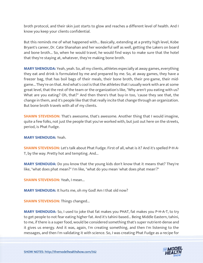broth protocol, and their skin just starts to glow and reaches a different level of health. And I know you keep your clients confidential.

But this reminds me of what happened with... Basically, extending at a pretty high level, Kobe Bryant's career, Dr. Cate Shanahan and her wonderful self as well, getting the Lakers on board and bone broth... So, when he would travel, he would find ways to make sure that the hotel that they're staying at, whatever, they're making bone broth.

**MARY SHENOUDA:** Yeah, yeah. So, all my clients, athletes especially at away games, everything they eat and drink is formulated by me and prepared by me. So, at away games, they have a freezer bag, that has boil bags of their meals, their bone broth, their pre-game, their midgame... They're on that. And what's cool is that the athletes that I usually work with are at some great level, that the rest of the team or the organization's like, "Why aren't you eating with us? What are you eating? Oh, that?" And then there's that buy-in too, 'cause they see that, the change in them, and it's people like that that really incite that change through an organization. But bone broth travels with all of my clients.

**SHAWN STEVENSON:** That's awesome, that's awesome. Another thing that I would imagine, quite a few folks, not just the people that you've worked with, but just out here on the streets, period, is Phat Fudge.

**MARY SHENOUDA:** Yeah.

**SHAWN STEVENSON:** Let's talk about Phat Fudge. First of all, what is it? And it's spelled P-H-A-T, by the way. Pretty hot and tempting. And...

**MARY SHENOUDA:** Do you know that the young kids don't know that it means that? They're like, "what does phat mean?" I'm like, "what do you mean 'what does phat mean'?"

**SHAWN STEVENSON: Yeah, I mean...** 

**MARY SHENOUDA:** It hurts me, oh my God! Am I that old now?

**SHAWN STEVENSON: Things changed...** 

**MARY SHENOUDA:** So, I used to joke that fat makes you PHAT, fat makes you P-H-A-T, to try to get people to not fear eating higher fat. And it's tahini-based... Being Middle Eastern, tahini, to me, if there is a super food, would be considered something that's super nutrient-dense and it gives us energy. And it was, again, I'm creating something, and then I'm listening to the [messages, and then I](https://themodelhealthshow.com/mary-shenouda/)'[m validating it with science. So, I was creating Phat Fudge as a recipe for](https://themodelhealthshow.com/mary-shenouda/)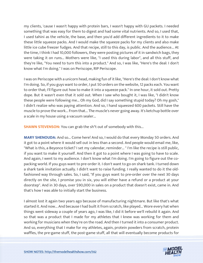my clients, 'cause I wasn't happy with protein bars, I wasn't happy with GU packets. I needed something that was easy for them to digest and had some vital nutrients. And so, I used that, I used tahini as the vehicle, the base, and then you'd add different ingredients to it to make these little squeeze packs. And I would make the squeeze packs for my clients and also make little ice cube freezer fudges. And that recipe, still to this day, is public. And the audience... At the time, I think I had 10,000 followers, they were posting pictures of it in sandwich bags, they were taking it on runs... Mothers were like, "I used this during labor", and all this stuff, and they're like, "You need to turn this into a product." And so, I was like, "Here's the deal: I don't know what I'm doing." I was on Periscope, RIP Periscope.

I was on Periscope with a unicorn head, making fun of it like, "Here's the deal: I don't know what I'm doing. So, if you guys want to order, I put 50 orders on the website, 12 packs each. You want to order that; I'll figure out how to make it into a squeeze pack." In one hour, it sold out. Pretty dope. But it wasn't even that it sold out. When I saw who bought it, I was like, "I didn't know these people were following me... Oh my God, did I say something stupid today? Oh my gosh," I didn't realize who was paying attention. And so, I hand squeezed 600 packets. Still have the muscle to prove the work... From that... The muscle's never going away. It's ketchup bottle over a scale in my house using a vacuum sealer...

**SHAWN STEVENSON:** You can grab the sh<sup>\*</sup>t out of somebody with this...

**MARY SHENOUDA:** And so... Come here! And so, I would do that every Monday 50 orders. And it got to a point where it would sell out in less than a second. And people would email me, like, "What is this, a Beyonce ticket? I set my calendar, reminder... " I'm like the recipe is still public, if you want to make it yourself. And then it got to a point where I was going to have to scale. And again, I went to my audience. I don't know what I'm doing. I'm going to figure out the copacking world. If you guys want to pre-order it. I don't want to go on shark tank. I turned down a shark tank invitation actually. I didn't want to raise funding. I really wanted to do it the oldfashioned way through sales. So, I said, "If you guys want to pre-order over the next 30 days directly on the site, I promise you in six, you will either have a refund or a product at your doorstep". And in 30 days, over \$90,000 in sales on a product that doesn't exist, came in. And that's how I was able to initially start the business.

I almost lost it again two years ago because of manufacturing nightmare. But like that's what started it. And now... And because I had built it from scratch, like played... Wore every hat when things went sideway a couple of years ago, I was like, I did it before we'll rebuild it again. And so that was a product that I made for my athletes that I knew was working for them and working for musicians when they're on the road. And then I turned it into a consumer product. And so, everything that I make for my athletes, again, protein powders from scratch, protein [waffles, the pre-game stuff, the post-game stuff, all that will eventually become products for](https://themodelhealthshow.com/mary-shenouda/)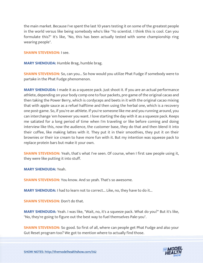the main market. Because I've spent the last 10 years testing it on some of the greatest people in the world versus like being somebody who's like "Yo scientist. I think this is cool. Can you formulate this?" It's like, "No, this has been actually tested with some championship ring wearing people".

# **SHAWN STEVENSON:** I see.

**MARY SHENOUDA:** Humble Brag, humble brag.

**SHAWN STEVENSON:** So, can you... So how would you utilize Phat Fudge if somebody were to partake in the Phat Fudge phenomenon.

**MARY SHENOUDA:** I made it as a squeeze pack. Just shoot it. If you are an actual performance athlete, depending on your body comp one to four packets, pre-game of the original cacao and then taking the Power Berry, which is cordyceps and beets in it with the original cacao mixing that with apple sauce as a refuel halftime and then using the herbal one, which is a recovery one post-game. So, if you're an athlete. If you're someone like me and you running around, you can interchange 'em however you want. I love starting the day with it as a squeeze pack. Keeps me satiated for a long period of time when I'm traveling or like before coming and doing interview like this, now the audience, the customer base, they do that and then blend it into their coffee, like making lattes with it. They put it in their smoothies, they put it on their brownies or their ice cream to have more fun with it. But my intention was squeeze pack to replace protein bars but make it your own.

**SHAWN STEVENSON:** Yeah, that's what I've seen. Of course, when I first saw people using it, they were like putting it into stuff.

**MARY SHENOUDA:** Yeah.

**SHAWN STEVENSON:** You know. And so yeah. That's so awesome.

**MARY SHENOUDA:** I had to learn not to correct... Like, no, they have to do it...

**SHAWN STEVENSON:** Don't do that.

**MARY SHENOUDA:** Yeah. I was like, "Wait, no, it's a squeeze pack. What do you?" But it's like, "No, they're going to figure out the best way to fuel themselves Pale-you".

**SHAWN STEVENSON:** So good. So first of all, where can people get Phat Fudge and also your [Gut Reset program too? We got to mention where to actually find those.](https://themodelhealthshow.com/mary-shenouda/)

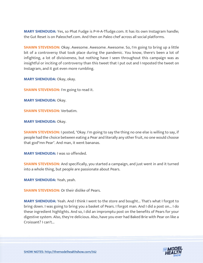**MARY SHENOUDA:** Yes, so Phat Fudge is P-H-A-Tfudge.com. It has its own Instagram handle; the Gut Reset is on Paleochef.com. And then on Paleo chef across all social platforms.

**SHAWN STEVENSON:** Okay. Awesome. Awesome. Awesome. So, I'm going to bring up a little bit of a controversy that took place during the pandemic. You know, there's been a lot of infighting, a lot of divisiveness, but nothing have I seen throughout this campaign was as insightful or inciting of controversy than this tweet that I put out and I reposted the tweet on Instagram, and it got even more rumbling.

**MARY SHENOUDA:** Okay, okay.

**SHAWN STEVENSON:** I'm going to read it.

**MARY SHENOUDA: Okay.** 

**SHAWN STEVENSON:** Verbatim.

**MARY SHENOUDA: Okay.** 

**SHAWN STEVENSON:** I posted, "Okay. I'm going to say the thing no one else is willing to say, if people had the choice between eating a Pear and literally any other fruit, no one would choose that god\*mn Pear". And man, it went bananas.

**MARY SHENOUDA:** I was so offended.

**SHAWN STEVENSON:** And specifically, you started a campaign, and just went in and it turned into a whole thing, but people are passionate about Pears.

**MARY SHENOUDA:** Yeah, yeah.

**SHAWN STEVENSON: Or their dislike of Pears.** 

**MARY SHENOUDA:** Yeah. And I think I went to the store and bought... That's what I forgot to bring down. I was going to bring you a basket of Pears. I forgot man. And I did a post on... I do these ingredient highlights. And so, I did an impromptu post on the benefits of Pears for your digestive system. Also, they're delicious. Also, have you ever had Baked Brie with Pear on like a Croissant? I can't...

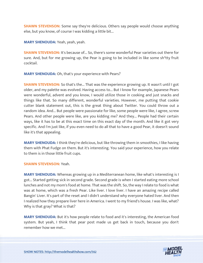**SHAWN STEVENSON:** Some say they're delicious. Others say people would choose anything else, but you know, of course I was kidding a little bit...

**MARY SHENOUDA:** Yeah, yeah, yeah.

**SHAWN STEVENSON:** It's because of... So, there's some wonderful Pear varieties out there for sure. And, but for me growing up, the Pear is going to be included in like some sh\*tty fruit cocktail.

**MARY SHENOUDA:** Oh, that's your experience with Pears?

**SHAWN STEVENSON:** So that's the... That was the experience growing up. It wasn't until I got older, and my palette was evolved. Having access to... But I know for example, Japanese Pears were wonderful, advent and you know, I would utilize those in cooking and just snacks and things like that. So many different, wonderful varieties. However, me putting that cookie cutter blank statement out, this is the great thing about Twitter. You could throw out a random idea. And... But people were passionate for like, some people were like, I agree, screw Pears. And other people were like, are you kidding me? And they... People had their certain ways, like it has to be at this exact time on this exact day of the month. And like it got very specific. And I'm just like, if you even need to do all that to have a good Pear, it doesn't sound like it's that appealing.

**MARY SHENOUDA:** I think they're delicious, but like throwing them in smoothies, I like having them with Phat Fudge on them. But it's interesting. You said your experience, how you relate to them is in those little fruit cups.

# **SHAWN STEVENSON:** Yeah.

**MARY SHENOUDA:** Whereas growing up in a Mediterranean home, like what's interesting is I got... Started getting sick in second grade. Second grade is when I started eating more school lunches and not my mom's food at home. That was the shift. So, the way I relate to food is what was at home, which was a fresh Pear. Like liver. I love liver. I have an amazing recipe called Bangin' Liver. It's part of the reset and I didn't understand why everyone hated liver. And then I realized how they prepare liver here in America. I went to my friend's house. I was like, what? Why is that gray? What is that?

**MARY SHENOUDA:** But it's how people relate to food and it's interesting, the American food system. But yeah, I think that pear post made us get back in touch, because you don't remember how we met...

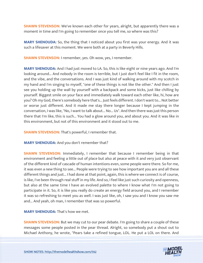**SHAWN STEVENSON:** We've known each other for years, alright, but apparently there was a moment in time and I'm going to remember once you tell me, so where was this?

**MARY SHENOUDA:** So, the thing that I noticed about you first was your energy. And it was such a lifesaver at this moment. We were both at a party in Beverly Hills.

**SHAWN STEVENSON:** I remember, yes. Oh wow, yes, I remember.

**MARY SHENOUDA:** And I had just moved to LA. So, this is like eight or nine years ago. And I'm looking around... And nobody in the room is terrible, but I just don't feel like I fit in the room, and the vibe, and the conversations. And I was just kind of walking around with my scotch in my hand and I'm singing to myself, "one of these things is not like the other." And then I just see you holding up the wall by yourself with a backpack and some kicks, just like chilling by yourself. Biggest smile on your face and immediately walk toward each other like, hi, how are you? Oh my God, there's somebody here that's... Just feels different. I don't want to... Not better or worse just different. And it made me stay there longer because I kept jumping in the conversation, I was like, "No, I want to talk about... No... Us". And then there was just this person there that I'm like, this is such... You had a glow around you, and about you. And it was like in this environment, but not of this environment and it stood out to me.

**SHAWN STEVENSON:** That's powerful, I remember that.

**MARY SHENOUDA:** And you don't remember that?

**SHAWN STEVENSON:** Immediately, I remember that because I remember being in that environment and feeling a little out of place but also at peace with it and very just observant of the different kind of cascade of human intentions even, some people were there. So for me, it was even a new thing to see... People were trying to see how important you are and all these different things and just... I had done at that point, again, this is where we connect is of course, is like, I've been through real stuff in my life. And so, I feel like just such curiosity and openness, but also at the same time I have an evolved palette to where I know what I'm not going to participate in it. So, it is like you really do create an energy field around you, and I remember it was so refreshing to meet you as well. I was just like, oh, I saw you and I know you saw me and... And yeah, oh man, I remember that was so powerful.

**MARY SHENOUDA:** That's how we met.

**SHAWN STEVENSON:** But we may cut to our pear debate. I'm going to share a couple of these messages some people posted in the pear thread. Alright, so somebody put a shout out to [Michael Anthony, he wrote, "Pears take a refined tongue, LOL. He put a LOL on there. And](https://themodelhealthshow.com/mary-shenouda/) 

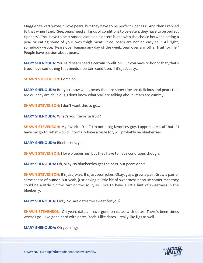Maggie Stewart wrote, "I love pears, but they have to be perfect ripeness". And then I replied to that when I said, "See, pears need all kinds of conditions to be eaten, they have to be perfect ripeness". "You have to be stranded alone on a desert island with the choice between eating a pear or eating some of your own thigh meat". "See, pears are not an easy sell". All right, somebody wrote, "Pears over banana any day of the week, pear over any other fruit for me." People have passion about pears.

**MARY SHENOUDA:** You said pears need a certain condition. But you have to honor that, that's true. I love something that needs a certain condition. If it's just easy...

**SHAWN STEVENSON: Come on.** 

**MARY SHENOUDA:** But you know what, pears that are super ripe are delicious and pears that are crunchy are delicious, I don't know what y'all are talking about. Pears are yummy.

**SHAWN STEVENSON:** I don't want this to go...

**MARY SHENOUDA:** What's your favorite fruit?

**SHAWN STEVENSON:** My favorite fruit? I'm not a big favorites guy. I appreciate stuff but if I have my go-to, what would I normally have a taste for, will probably be blueberries.

**MARY SHENOUDA:** Blueberries, yeah.

**SHAWN STEVENSON: I** love blueberries, but they have to have conditions though.

**MARY SHENOUDA:** Oh, okay, so blueberries get the pass, but pears don't.

**SHAWN STEVENSON:** It's just jokes. It's just pear jokes. Okay, guys, grow a pair. Grow a pair of some sense of humor. But yeah, just having a little bit of sweetness because sometimes they could be a little bit too tart or too sour, so I like to have a little hint of sweetness in the blueberry.

**MARY SHENOUDA:** Okay. So, are dates too sweet for you?

**SHAWN STEVENSON:** Oh yeah, dates, I have gone on dates with dates. There's been times where I go... I've gone hard with dates. Yeah, I like dates, I really like figs as well.

**MARY SHENOUDA:** Oh yeah, figs.

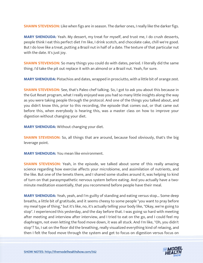**SHAWN STEVENSON:** Like when figs are in season. The darker ones, I really like the darker figs.

**MARY SHENOUDA:** Yeah. My dessert, my treat for myself, and trust me, I do crush desserts, people think I eat this perfect diet I'm like, I drink scotch, and chocolate cake, chill we're good. But I do love like a treat, putting a Brazil nut in half of a date. The texture of that particular nut with the date. It's just joy.

**SHAWN STEVENSON:** So many things you could do with dates, period. I literally did the same thing. I'd take the pit out replace it with an almond or a Brazil nut. Yeah, for sure.

**MARY SHENOUDA:** Pistachios and dates, wrapped in prosciutto, with a little bit of orange zest.

**SHAWN STEVENSON:** See, that's Paleo chef talking. So, I got to ask you about this because in the Gut Reset program, what I really enjoyed was you had so many little insights along the way as you were taking people through the protocol. And one of the things you talked about, and you didn't know this, prior to this recording, the episode that comes out, or that came out before this, when everybody is hearing this, was a master class on how to improve your digestion without changing your diet.

**MARY SHENOUDA:** Without changing your diet.

**SHAWN STEVENSON:** So, all things that are around, because food obviously, that's the big leverage point.

**MARY SHENOUDA:** You mean like environment.

**SHAWN STEVENSON:** Yeah, in the episode, we talked about some of this really amazing science regarding how exercise affects your microbiome, and assimilation of nutrients, and the like. But one of the tenets there, and I shared some studies around it, was helping to kind of turn on that parasympathetic nervous system before eating. And you actually have a twominute meditation essentially, that you recommend before people have their meal.

**MARY SHENOUDA:** Yeah, yeah, and I'm guilty of standing and eating versus stop... Some deep breaths, a little bit of gratitude, and it seems cheesy to some people "you want to pray before my meal type of thing," but it's like, no, it's actually telling your body like, "Okay, we're going to stop". I experienced this yesterday, and the day before that. I was going so hard with meeting after meeting and interview after interview, and I tried to eat on the go, and I could feel my diaphragm, not even letting the food move down, it was all stuck. And I'm like, "Oh, you didn't stop"? So, I sat on the floor did the breathing, really visualized everything kind of relaxing, and [then I felt the food move through the system and get to focus on digestion versus focus on](https://themodelhealthshow.com/mary-shenouda/)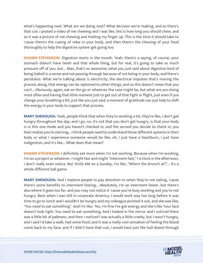what's happening next. What are we doing next? What decision we're making, and so there's that cue. I posted a video of me chewing and I was like, this is how long you should chew, and so it was a picture of me chewing and holding my finger up. This is the time it should take to 'cause there's the cueing of relax in your body, and then there's the chewing of your food thoroughly to help the digestive system get going too.

**SHAWN STEVENSON:** Digestion starts in the mouth. Yeah, there's a saying, of course, your stomach doesn't have teeth and that whole thing, but for real, it's going to take so much pressure off of you, but... Man, that's so awesome, what you just said about digestion kind of being halted in a sense and not passing through because of not being in your body, and there's peristalsis. What we're talking about is electricity, the electrical impulses that's moving the process along, that energy can be siphoned to other things, and so this doesn't mean that you can't... Obviously, again, eat on the go or whatever the case might be, but what are you doing most often and having that little moment just to get out of that fight or flight, just even if you change your breathing a bit, just like you just said, a moment of gratitude can just help to shift the energy in your body to support that process.

**MARY SHENOUDA:** Yeah, people think that when they're working a lot, they're like, I don't get hungry throughout the day, and I go, no, it's not that you don't get hungry, is that your body is in this one mode and you haven't checked in, and the second you decide to check in, you then realize you're starving... I think people need to understand those different systems in their body or what I experience someone would be like, oh, I just have a heartburn, I just have indigestion, and it's like... What does that mean?

**SHAWN STEVENSON:** I definitely eat more when I'm not working. Because when I'm working, I'm on a project or whatever. I might fast and might "interment fast," 1 o'clock in the afternoon, I don't really even notice. But 10:00 AM on a Sunday, I'm like, "Where the brunch at?"... It's a whole different ball game.

**MARY SHENOUDA:** And I implore people to pay attention to when they're not eating, 'cause there's some benefits to interment fasting... Absolutely, I'm an interment faster, but there's also where it goes too far, and you may not notice it 'cause you're busy working and you're not hungry. Back when I was still in corporate America, I would work way too long before it was time to go to lunch and I wouldn't be hungry and my colleague pointed it out, and she was like, "You need to eat something". And I'm like, "No, I'm fine I've got energy and she's like Your face doesn't look right. You need to eat something. And I looked in the mirror and I noticed there was a little bit of paleness, and then I noticed I was actually a little cranky, but I wasn't hungry, and I said I'd take a walk, had some food, and it was a really cool sensation of feeling the blood come back to my face, and if I didn't have that cue, I would have just like bull-dozed through

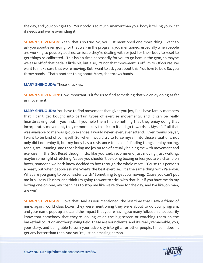the day, and you don't get to... Your body is so much smarter than your body is telling you what it needs and we're overriding it.

**SHAWN STEVENSON:** Yeah, that's so true. So, you just mentioned one more thing I want to ask you about even going for that walk in the program, you mentioned, especially when people are working to possibly address an issue they're dealing with or just for their body to reset to get things re-calibrated... This isn't a time necessarily for you to go ham in the gym, so maybe we ease off of that pedal a little bit, but also, it's not that movement is off limits. Of course, we want to make sure that we're moving. But I want to ask you about this. You love to box. So, you throw hands... That's another thing about Mary, she throws hands.

**MARY SHENOUDA:** These knuckles.

**SHAWN STEVENSON:** How important is it for us to find something that we enjoy doing as far as movement.

**MARY SHENOUDA:** You have to find movement that gives you joy, like I have family members that I can't get bought into certain types of exercise movements, and it can be really heartbreaking, but if you find... If you help them find something that they enjoy doing that incorporates movement, they're more likely to stick to it and go towards it. Myself, if all that was available to me was group exercise, I would never, ever, ever attend... Ever, tennis player, I want to be kind of by myself. So, when I would try to force myself into those situations, not only did I not enjoy it, but my body has a resistance to it, so it's finding things I enjoy boxing, tennis, trail running, and those bring me joy on top of actually helping me with movement and exercise. In the Gut Reset though, I do, like you said, recommend just moving, just walking, maybe some light stretching, 'cause you shouldn't be doing boxing unless you are a champion boxer, someone we both know decided to box through the whole reset... 'Cause this person's a beast, but when people ask me What's the best exercise... It's the same thing with Pale-you. What are you going to be consistent with? Something to get you moving. 'Cause you can't put me in a Cross-Fit class, and think I'm going to want to stick with that, but if you have me do my boxing one-on-one, my coach has to stop me like we're done for the day, and I'm like, oh man, are we?

**SHAWN STEVENSON: I** love that. And as you mentioned, the last time that I saw a friend of mine, again, world class boxer, they were mentioning they were about to do your program, and your name pops up a lot, and the impact that you're having, so many folks don't necessarily know that somebody that they're looking at on the big screen or watching them on the basketball court on another playing field, these are your clients, and it's really remarkable, you, your story, and being able to turn your adversity into gifts for other people, I mean, doesn't [get any better than that. And you](https://themodelhealthshow.com/mary-shenouda/)'[re just an amazing person.](https://themodelhealthshow.com/mary-shenouda/)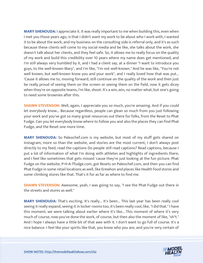**MARY SHENOUDA:** I appreciate it. It was really important to me when building this, even when I met you those years ago, is that I didn't want my work to be about who I work with, I wanted it to be about the work, and my business on the consulting side is referral only, and it's as such because these clients will come to my social media and be like, she talks about the work, she doesn't talk about her clients, and they feel safe. So, it allows me to really focus on the quality of my work and build this credibility over 10 years where my name does get mentioned, and I'm still always very humbled by it, and I had a client say, at a dinner "I want to introduce you guys, to the well-known Mary", and I'm like, "I'm not well-known." And he was like, "You're not well known, but well-known know you and your work", and I really loved how that was put... 'Cause it allows me to, moving forward, still continue on the quality of the work and then just be really proud of seeing them on the screen or seeing them on the field, now it gets dicey when they're on opposite teams, I'm like, shoot. It's a win, win, no matter what, but one's going to need some brownies after this.

**SHAWN STEVENSON:** Well, again, I appreciate you so much, you're amazing. And if you could let everybody know... Because regardless, people can glean so much from you just following your work and you've got so many great resources out there for folks, from the Reset to Phat Fudge. Can you let everybody know where to follow you and also the places they can find Phat Fudge, and the Reset one more time.

**MARY SHENOUDA:** So Paleochef.com is my website, but most of my stuff gets shared on Instagram, more so than the website, and stories are the most current, I don't always post directly to my feed, read the captions Do people still read captions? Read captions, because I put a lot of information of what I'm doing with athletes and highlights of ingredients there, and I feel like sometimes that gets missed 'cause they're just looking at the fun picture. Phat Fudge on the website, P-H-A-Tfudge.com, got Resets on Paleochef.com, and then you can find Phat Fudge in some retail locations as well, like Erewhon and places like Health food stores and some climbing stores like that. That's it for as far as where to find me.

**SHAWN STEVENSON:** Awesome, yeah, I was going to say, "I see the Phat Fudge out there in the streets and stores as well."

**MARY SHENOUDA:** That's exciting. It's really... It's been... This last year has been really cool seeing it really expand, seeing it in locker rooms too, it's been really cool, like, "I did that." I have this moment; we were talking about earlier where it's like... This moment of where it's very much of course, now you've done the work, of course, but then also the moment of like, "sh\*t." And I hope I always have a little bit of that awe with it. I don't want to go full of course. It's a nice balance. I feel like your spirits like that, you know who you are, and you're very certain of

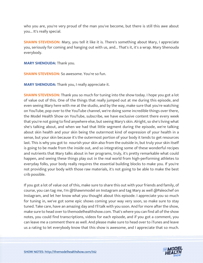who you are, you're very proud of the man you've become, but there is still this awe about you... It's really special.

**SHAWN STEVENSON:** Mary, you tell it like it is. There's something about Mary, I appreciate you, seriously for coming and hanging out with us, and... That's it, it's a wrap. Mary Shenouda everybody.

**MARY SHENOUDA:** Thank you.

**SHAWN STEVENSON:** So awesome. You're so fun.

**MARY SHENOUDA:** Thank you, I really appreciate it.

**SHAWN STEVENSON:** Thank you so much for tuning into the show today. I hope you got a lot of value out of this. One of the things that really jumped out at me during this episode, and even seeing Mary here with me at the studio, and by the way, make sure that you're watching on YouTube, pop over to the YouTube channel, we're doing some incredible things over there, the Model Health Show on YouTube, subscribe, we have exclusive content there every week that you're not going to find anywhere else, but seeing Mary's skin. Alright, so she's living what she's talking about, and when we had that little segment during the episode, we're talking about skin health and your skin being the outermost kind of expression of your health in a sense, but your skin because it's the outermost portion of your body it tends to get resources last. This is why you got to nourish your skin also from the outside in, but truly your skin itself is going to be made from the inside out, and so integrating some of these wonderful recipes and nutrients that Mary talks about in her programs, truly, it's pretty remarkable what could happen, and seeing these things play out in the real world from high-performing athletes to everyday folks, your body really requires the essential building blocks to make you. If you're not providing your body with those raw materials, it's not going to be able to make the best crib possible.

If you got a lot of value out of this, make sure to share this out with your friends and family, of course, you can tag me, I'm @Shawnmodel on Instagram and tag Mary as well @Paleochef on Instagram, and let her know what you thought about this episode. I appreciate you so much for tuning in, we've got some epic shows coming your way very soon, so make sure to stay tuned. Take care, have an amazing day and I'll talk with you soon. And for more after the show, make sure to head over to themodelhealthshow.com. That's where you can find all of the show notes, you could find transcriptions, videos for each episode, and if you got a comment, you can leave me a comment there as well. And please make sure to head over to iTunes and leave us a rating to let everybody know that this show is awesome, and I appreciate that so much.